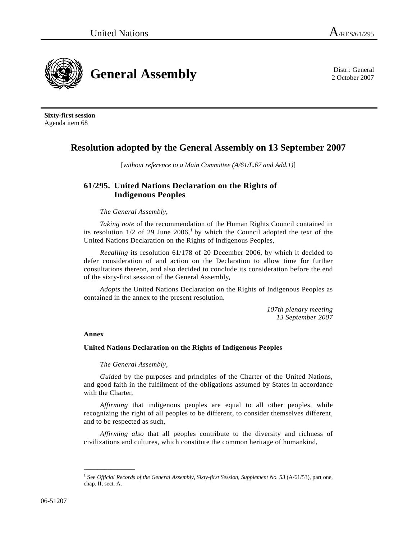**General Assembly** District General **District General** 

2 October 2007

**Sixty-first session**  Agenda item 68

# **Resolution adopted by the General Assembly on 13 September 2007**

[*without reference to a Main Committee (A/61/L.67 and Add.1)*]

## **61/295. United Nations Declaration on the Rights of Indigenous Peoples**

## *The General Assembly*,

*Taking note* of the recommendation of the Human Rights Council contained in its resolution  $1/2$  $1/2$  of 29 June  $2006$ ,<sup>1</sup> by which the Council adopted the text of the United Nations Declaration on the Rights of Indigenous Peoples,

*Recalling* its resolution 61/178 of 20 December 2006, by which it decided to defer consideration of and action on the Declaration to allow time for further consultations thereon, and also decided to conclude its consideration before the end of the sixty-first session of the General Assembly,

*Adopts* the United Nations Declaration on the Rights of Indigenous Peoples as contained in the annex to the present resolution.

> *107th plenary meeting 13 September 2007*

## **Annex**

**\_\_\_\_\_\_\_\_\_\_\_\_\_\_\_** 

## **United Nations Declaration on the Rights of Indigenous Peoples**

*The General Assembly*,

*Guided* by the purposes and principles of the Charter of the United Nations, and good faith in the fulfilment of the obligations assumed by States in accordance with the Charter,

*Affirming* that indigenous peoples are equal to all other peoples, while recognizing the right of all peoples to be different, to consider themselves different, and to be respected as such,

*Affirming also* that all peoples contribute to the diversity and richness of civilizations and cultures, which constitute the common heritage of humankind,

<span id="page-0-0"></span><sup>&</sup>lt;sup>1</sup> See *Official Records of the General Assembly, Sixty-first Session, Supplement No. 53 (A/61/53), part one,* chap. II, sect. A.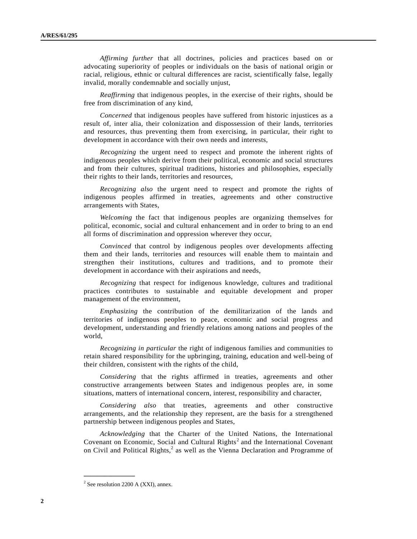*Affirming further* that all doctrines, policies and practices based on or advocating superiority of peoples or individuals on the basis of national origin or racial, religious, ethnic or cultural differences are racist, scientifically false, legally invalid, morally condemnable and socially unjust,

*Reaffirming* that indigenous peoples, in the exercise of their rights, should be free from discrimination of any kind,

*Concerned* that indigenous peoples have suffered from historic injustices as a result of, inter alia, their colonization and dispossession of their lands, territories and resources, thus preventing them from exercising, in particular, their right to development in accordance with their own needs and interests,

*Recognizing* the urgent need to respect and promote the inherent rights of indigenous peoples which derive from their political, economic and social structures and from their cultures, spiritual traditions, histories and philosophies, especially their rights to their lands, territories and resources,

*Recognizing also* the urgent need to respect and promote the rights of indigenous peoples affirmed in treaties, agreements and other constructive arrangements with States,

*Welcoming* the fact that indigenous peoples are organizing themselves for political, economic, social and cultural enhancement and in order to bring to an end all forms of discrimination and oppression wherever they occur,

*Convinced* that control by indigenous peoples over developments affecting them and their lands, territories and resources will enable them to maintain and strengthen their institutions, cultures and traditions, and to promote their development in accordance with their aspirations and needs,

*Recognizing* that respect for indigenous knowledge, cultures and traditional practices contributes to sustainable and equitable development and proper management of the environment,

*Emphasizing* the contribution of the demilitarization of the lands and territories of indigenous peoples to peace, economic and social progress and development, understanding and friendly relations among nations and peoples of the world,

*Recognizing in particular* the right of indigenous families and communities to retain shared responsibility for the upbringing, training, education and well-being of their children, consistent with the rights of the child,

*Considering* that the rights affirmed in treaties, agreements and other constructive arrangements between States and indigenous peoples are, in some situations, matters of international concern, interest, responsibility and character,

*Considering also* that treaties, agreements and other constructive arrangements, and the relationship they represent, are the basis for a strengthened partnership between indigenous peoples and States,

*Acknowledging* that the Charter of the United Nations, the International Covenant on Economic, Social and Cultural Rights<sup>[2](#page-1-0)</sup> and the International Covenant on Civil and Political Rights,<sup>2</sup> as well as the Vienna Declaration and Programme of

**\_\_\_\_\_\_\_\_\_\_\_\_\_\_\_** 

<span id="page-1-0"></span><sup>2</sup> See resolution 2200 A (XXI), annex.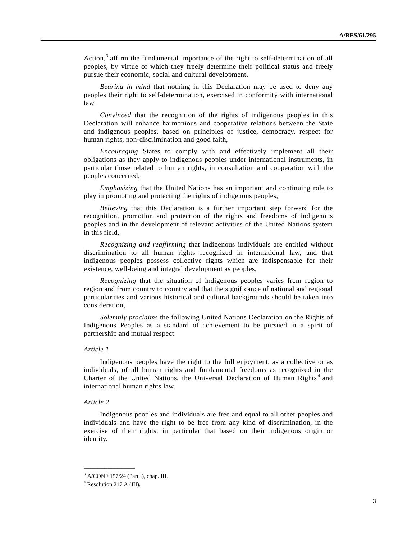Action,<sup>[3](#page-2-0)</sup> affirm the fundamental importance of the right to self-determination of all peoples, by virtue of which they freely determine their political status and freely pursue their economic, social and cultural development,

*Bearing in mind* that nothing in this Declaration may be used to deny any peoples their right to self-determination, exercised in conformity with international law,

*Convinced* that the recognition of the rights of indigenous peoples in this Declaration will enhance harmonious and cooperative relations between the State and indigenous peoples, based on principles of justice, democracy, respect for human rights, non-discrimination and good faith,

*Encouraging* States to comply with and effectively implement all their obligations as they apply to indigenous peoples under international instruments, in particular those related to human rights, in consultation and cooperation with the peoples concerned,

*Emphasizing* that the United Nations has an important and continuing role to play in promoting and protecting the rights of indigenous peoples,

*Believing* that this Declaration is a further important step forward for the recognition, promotion and protection of the rights and freedoms of indigenous peoples and in the development of relevant activities of the United Nations system in this field,

*Recognizing and reaffirming* that indigenous individuals are entitled without discrimination to all human rights recognized in international law, and that indigenous peoples possess collective rights which are indispensable for their existence, well-being and integral development as peoples,

*Recognizing* that the situation of indigenous peoples varies from region to region and from country to country and that the significance of national and regional particularities and various historical and cultural backgrounds should be taken into consideration,

*Solemnly proclaims* the following United Nations Declaration on the Rights of Indigenous Peoples as a standard of achievement to be pursued in a spirit of partnership and mutual respect:

#### *Article 1*

 Indigenous peoples have the right to the full enjoyment, as a collective or as individuals, of all human rights and fundamental freedoms as recognized in the Charter of the United Nations, the Universal Declaration of Human Rights<sup>[4](#page-2-1)</sup> and international human rights law.

#### *Article 2*

 Indigenous peoples and individuals are free and equal to all other peoples and individuals and have the right to be free from any kind of discrimination, in the exercise of their rights, in particular that based on their indigenous origin or identity.

**\_\_\_\_\_\_\_\_\_\_\_\_\_\_\_** 

<span id="page-2-0"></span><sup>3</sup> A/CONF.157/24 (Part I), chap. III.

<span id="page-2-1"></span><sup>4</sup> Resolution 217 A (III).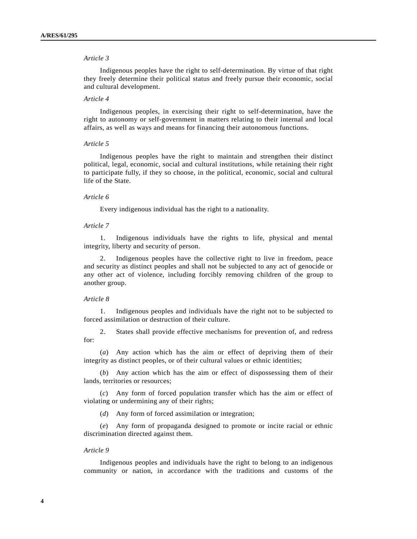Indigenous peoples have the right to self-determination. By virtue of that right they freely determine their political status and freely pursue their economic, social and cultural development.

## *Article 4*

 Indigenous peoples, in exercising their right to self-determination, have the right to autonomy or self-government in matters relating to their internal and local affairs, as well as ways and means for financing their autonomous functions.

#### *Article 5*

 Indigenous peoples have the right to maintain and strengthen their distinct political, legal, economic, social and cultural institutions, while retaining their right to participate fully, if they so choose, in the political, economic, social and cultural life of the State.

#### *Article 6*

Every indigenous individual has the right to a nationality.

## *Article 7*

 1. Indigenous individuals have the rights to life, physical and mental integrity, liberty and security of person.

 2. Indigenous peoples have the collective right to live in freedom, peace and security as distinct peoples and shall not be subjected to any act of genocide or any other act of violence, including forcibly removing children of the group to another group.

## *Article 8*

 1. Indigenous peoples and individuals have the right not to be subjected to forced assimilation or destruction of their culture.

 2. States shall provide effective mechanisms for prevention of, and redress for:

 (*a*) Any action which has the aim or effect of depriving them of their integrity as distinct peoples, or of their cultural values or ethnic identities;

 (*b*) Any action which has the aim or effect of dispossessing them of their lands, territories or resources;

 (*c*) Any form of forced population transfer which has the aim or effect of violating or undermining any of their rights;

(*d*) Any form of forced assimilation or integration;

 (*e*) Any form of propaganda designed to promote or incite racial or ethnic discrimination directed against them.

## *Article 9*

 Indigenous peoples and individuals have the right to belong to an indigenous community or nation, in accordance with the traditions and customs of the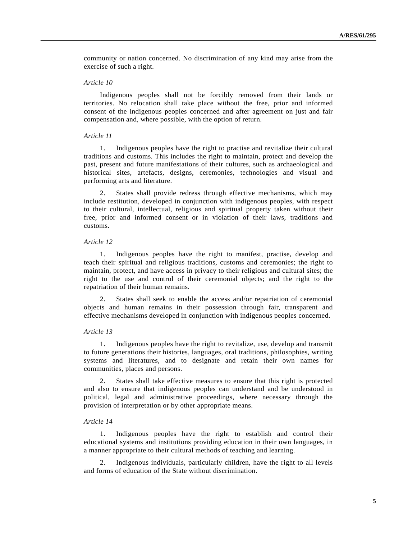community or nation concerned. No discrimination of any kind may arise from the exercise of such a right.

## *Article 10*

 Indigenous peoples shall not be forcibly removed from their lands or territories. No relocation shall take place without the free, prior and informed consent of the indigenous peoples concerned and after agreement on just and fair compensation and, where possible, with the option of return.

## *Article 11*

 1. Indigenous peoples have the right to practise and revitalize their cultural traditions and customs. This includes the right to maintain, protect and develop the past, present and future manifestations of their cultures, such as archaeological and historical sites, artefacts, designs, ceremonies, technologies and visual and performing arts and literature.

 2. States shall provide redress through effective mechanisms, which may include restitution, developed in conjunction with indigenous peoples, with respect to their cultural, intellectual, religious and spiritual property taken without their free, prior and informed consent or in violation of their laws, traditions and customs.

## *Article 12*

 1. Indigenous peoples have the right to manifest, practise, develop and teach their spiritual and religious traditions, customs and ceremonies; the right to maintain, protect, and have access in privacy to their religious and cultural sites; the right to the use and control of their ceremonial objects; and the right to the repatriation of their human remains.

 2. States shall seek to enable the access and/or repatriation of ceremonial objects and human remains in their possession through fair, transparent and effective mechanisms developed in conjunction with indigenous peoples concerned.

#### *Article 13*

 1. Indigenous peoples have the right to revitalize, use, develop and transmit to future generations their histories, languages, oral traditions, philosophies, writing systems and literatures, and to designate and retain their own names for communities, places and persons.

 2. States shall take effective measures to ensure that this right is protected and also to ensure that indigenous peoples can understand and be understood in political, legal and administrative proceedings, where necessary through the provision of interpretation or by other appropriate means.

## *Article 14*

 1. Indigenous peoples have the right to establish and control their educational systems and institutions providing education in their own languages, in a manner appropriate to their cultural methods of teaching and learning.

 2. Indigenous individuals, particularly children, have the right to all levels and forms of education of the State without discrimination.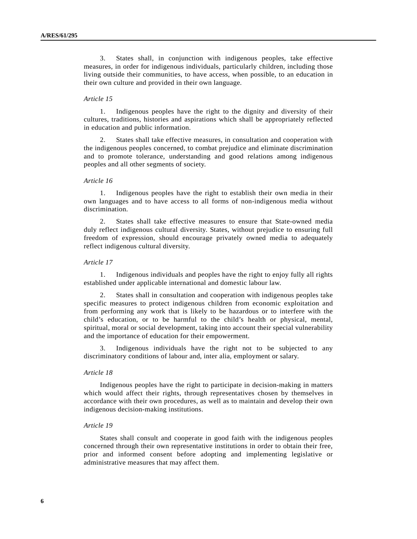3. States shall, in conjunction with indigenous peoples, take effective measures, in order for indigenous individuals, particularly children, including those living outside their communities, to have access, when possible, to an education in their own culture and provided in their own language.

#### *Article 15*

 1. Indigenous peoples have the right to the dignity and diversity of their cultures, traditions, histories and aspirations which shall be appropriately reflected in education and public information.

States shall take effective measures, in consultation and cooperation with the indigenous peoples concerned, to combat prejudice and eliminate discrimination and to promote tolerance, understanding and good relations among indigenous peoples and all other segments of society.

## *Article 16*

 1. Indigenous peoples have the right to establish their own media in their own languages and to have access to all forms of non-indigenous media without discrimination.

 2. States shall take effective measures to ensure that State-owned media duly reflect indigenous cultural diversity. States, without prejudice to ensuring full freedom of expression, should encourage privately owned media to adequately reflect indigenous cultural diversity.

#### *Article 17*

 1. Indigenous individuals and peoples have the right to enjoy fully all rights established under applicable international and domestic labour law.

 2. States shall in consultation and cooperation with indigenous peoples take specific measures to protect indigenous children from economic exploitation and from performing any work that is likely to be hazardous or to interfere with the child's education, or to be harmful to the child's health or physical, mental, spiritual, moral or social development, taking into account their special vulnerability and the importance of education for their empowerment.

 3. Indigenous individuals have the right not to be subjected to any discriminatory conditions of labour and, inter alia, employment or salary.

#### *Article 18*

 Indigenous peoples have the right to participate in decision-making in matters which would affect their rights, through representatives chosen by themselves in accordance with their own procedures, as well as to maintain and develop their own indigenous decision-making institutions.

#### *Article 19*

 States shall consult and cooperate in good faith with the indigenous peoples concerned through their own representative institutions in order to obtain their free, prior and informed consent before adopting and implementing legislative or administrative measures that may affect them.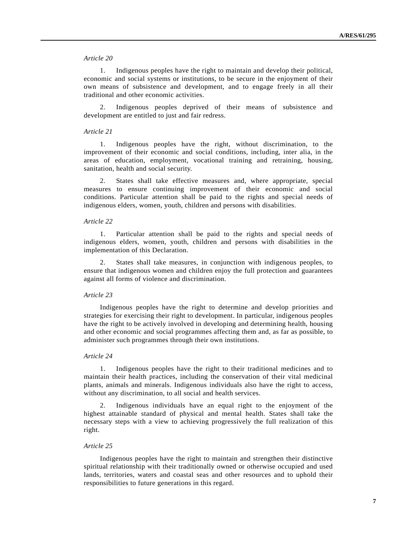1. Indigenous peoples have the right to maintain and develop their political, economic and social systems or institutions, to be secure in the enjoyment of their own means of subsistence and development, and to engage freely in all their traditional and other economic activities.

 2. Indigenous peoples deprived of their means of subsistence and development are entitled to just and fair redress.

## *Article 21*

 1. Indigenous peoples have the right, without discrimination, to the improvement of their economic and social conditions, including, inter alia, in the areas of education, employment, vocational training and retraining, housing, sanitation, health and social security.

 2. States shall take effective measures and, where appropriate, special measures to ensure continuing improvement of their economic and social conditions. Particular attention shall be paid to the rights and special needs of indigenous elders, women, youth, children and persons with disabilities.

## *Article 22*

 1. Particular attention shall be paid to the rights and special needs of indigenous elders, women, youth, children and persons with disabilities in the implementation of this Declaration.

 2. States shall take measures, in conjunction with indigenous peoples, to ensure that indigenous women and children enjoy the full protection and guarantees against all forms of violence and discrimination.

#### *Article 23*

 Indigenous peoples have the right to determine and develop priorities and strategies for exercising their right to development. In particular, indigenous peoples have the right to be actively involved in developing and determining health, housing and other economic and social programmes affecting them and, as far as possible, to administer such programmes through their own institutions.

## *Article 24*

 1. Indigenous peoples have the right to their traditional medicines and to maintain their health practices, including the conservation of their vital medicinal plants, animals and minerals. Indigenous individuals also have the right to access, without any discrimination, to all social and health services.

 2. Indigenous individuals have an equal right to the enjoyment of the highest attainable standard of physical and mental health. States shall take the necessary steps with a view to achieving progressively the full realization of this right.

## *Article 25*

 Indigenous peoples have the right to maintain and strengthen their distinctive spiritual relationship with their traditionally owned or otherwise occupied and used lands, territories, waters and coastal seas and other resources and to uphold their responsibilities to future generations in this regard.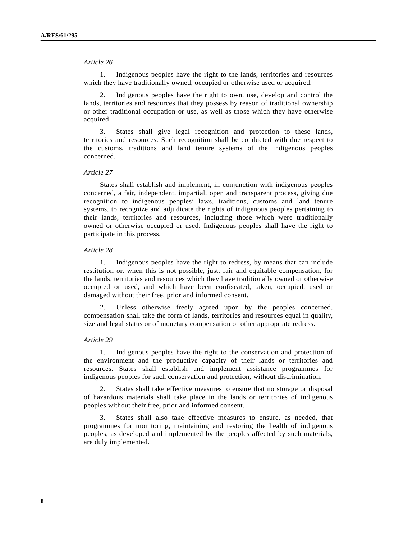1. Indigenous peoples have the right to the lands, territories and resources which they have traditionally owned, occupied or otherwise used or acquired.

 2. Indigenous peoples have the right to own, use, develop and control the lands, territories and resources that they possess by reason of traditional ownership or other traditional occupation or use, as well as those which they have otherwise acquired.

 3. States shall give legal recognition and protection to these lands, territories and resources. Such recognition shall be conducted with due respect to the customs, traditions and land tenure systems of the indigenous peoples concerned.

## *Article 27*

 States shall establish and implement, in conjunction with indigenous peoples concerned, a fair, independent, impartial, open and transparent process, giving due recognition to indigenous peoples' laws, traditions, customs and land tenure systems, to recognize and adjudicate the rights of indigenous peoples pertaining to their lands, territories and resources, including those which were traditionally owned or otherwise occupied or used. Indigenous peoples shall have the right to participate in this process.

#### *Article 28*

 1. Indigenous peoples have the right to redress, by means that can include restitution or, when this is not possible, just, fair and equitable compensation, for the lands, territories and resources which they have traditionally owned or otherwise occupied or used, and which have been confiscated, taken, occupied, used or damaged without their free, prior and informed consent.

 2. Unless otherwise freely agreed upon by the peoples concerned, compensation shall take the form of lands, territories and resources equal in quality, size and legal status or of monetary compensation or other appropriate redress.

#### *Article 29*

 1. Indigenous peoples have the right to the conservation and protection of the environment and the productive capacity of their lands or territories and resources. States shall establish and implement assistance programmes for indigenous peoples for such conservation and protection, without discrimination.

 2. States shall take effective measures to ensure that no storage or disposal of hazardous materials shall take place in the lands or territories of indigenous peoples without their free, prior and informed consent.

 3. States shall also take effective measures to ensure, as needed, that programmes for monitoring, maintaining and restoring the health of indigenous peoples, as developed and implemented by the peoples affected by such materials, are duly implemented.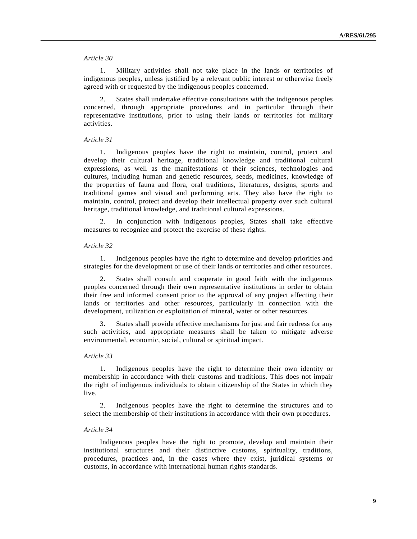1. Military activities shall not take place in the lands or territories of indigenous peoples, unless justified by a relevant public interest or otherwise freely agreed with or requested by the indigenous peoples concerned.

 2. States shall undertake effective consultations with the indigenous peoples concerned, through appropriate procedures and in particular through their representative institutions, prior to using their lands or territories for military activities.

## *Article 31*

 1. Indigenous peoples have the right to maintain, control, protect and develop their cultural heritage, traditional knowledge and traditional cultural expressions, as well as the manifestations of their sciences, technologies and cultures, including human and genetic resources, seeds, medicines, knowledge of the properties of fauna and flora, oral traditions, literatures, designs, sports and traditional games and visual and performing arts. They also have the right to maintain, control, protect and develop their intellectual property over such cultural heritage, traditional knowledge, and traditional cultural expressions.

 2. In conjunction with indigenous peoples, States shall take effective measures to recognize and protect the exercise of these rights.

#### *Article 32*

 1. Indigenous peoples have the right to determine and develop priorities and strategies for the development or use of their lands or territories and other resources.

 2. States shall consult and cooperate in good faith with the indigenous peoples concerned through their own representative institutions in order to obtain their free and informed consent prior to the approval of any project affecting their lands or territories and other resources, particularly in connection with the development, utilization or exploitation of mineral, water or other resources.

 3. States shall provide effective mechanisms for just and fair redress for any such activities, and appropriate measures shall be taken to mitigate adverse environmental, economic, social, cultural or spiritual impact.

## *Article 33*

 1. Indigenous peoples have the right to determine their own identity or membership in accordance with their customs and traditions. This does not impair the right of indigenous individuals to obtain citizenship of the States in which they live.

 2. Indigenous peoples have the right to determine the structures and to select the membership of their institutions in accordance with their own procedures.

#### *Article 34*

 Indigenous peoples have the right to promote, develop and maintain their institutional structures and their distinctive customs, spirituality, traditions, procedures, practices and, in the cases where they exist, juridical systems or customs, in accordance with international human rights standards.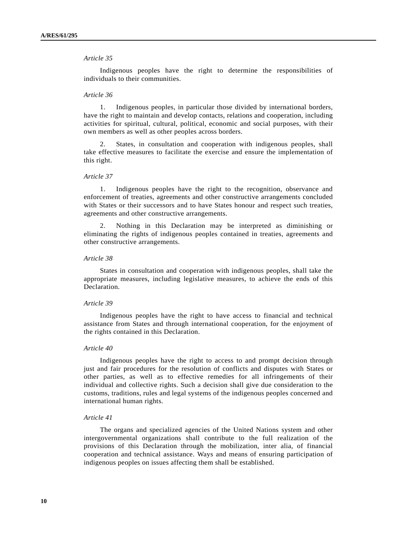Indigenous peoples have the right to determine the responsibilities of individuals to their communities.

### *Article 36*

 1. Indigenous peoples, in particular those divided by international borders, have the right to maintain and develop contacts, relations and cooperation, including activities for spiritual, cultural, political, economic and social purposes, with their own members as well as other peoples across borders.

 2. States, in consultation and cooperation with indigenous peoples, shall take effective measures to facilitate the exercise and ensure the implementation of this right.

## *Article 37*

 1. Indigenous peoples have the right to the recognition, observance and enforcement of treaties, agreements and other constructive arrangements concluded with States or their successors and to have States honour and respect such treaties, agreements and other constructive arrangements.

 2. Nothing in this Declaration may be interpreted as diminishing or eliminating the rights of indigenous peoples contained in treaties, agreements and other constructive arrangements.

## *Article 38*

 States in consultation and cooperation with indigenous peoples, shall take the appropriate measures, including legislative measures, to achieve the ends of this Declaration.

## *Article 39*

 Indigenous peoples have the right to have access to financial and technical assistance from States and through international cooperation, for the enjoyment of the rights contained in this Declaration.

#### *Article 40*

 Indigenous peoples have the right to access to and prompt decision through just and fair procedures for the resolution of conflicts and disputes with States or other parties, as well as to effective remedies for all infringements of their individual and collective rights. Such a decision shall give due consideration to the customs, traditions, rules and legal systems of the indigenous peoples concerned and international human rights.

#### *Article 41*

 The organs and specialized agencies of the United Nations system and other intergovernmental organizations shall contribute to the full realization of the provisions of this Declaration through the mobilization, inter alia, of financial cooperation and technical assistance. Ways and means of ensuring participation of indigenous peoples on issues affecting them shall be established.